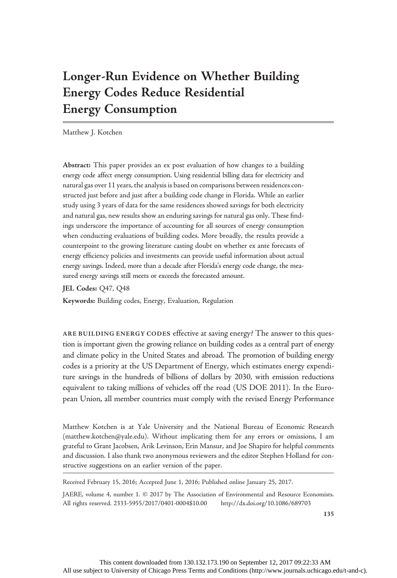# Longer-Run Evidence on Whether Building Energy Codes Reduce Residential Energy Consumption

Matthew J. Kotchen

Abstract: This paper provides an ex post evaluation of how changes to a building energy code affect energy consumption. Using residential billing data for electricity and natural gas over 11 years, the analysis is based on comparisons between residences constructed just before and just after a building code change in Florida. While an earlier study using 3 years of data for the same residences showed savings for both electricity and natural gas, new results show an enduring savings for natural gas only. These findings underscore the importance of accounting for all sources of energy consumption when conducting evaluations of building codes. More broadly, the results provide a counterpoint to the growing literature casting doubt on whether ex ante forecasts of energy efficiency policies and investments can provide useful information about actual energy savings. Indeed, more than a decade after Florida's energy code change, the measured energy savings still meets or exceeds the forecasted amount.

JEL Codes: Q47, Q48

Keywords: Building codes, Energy, Evaluation, Regulation

ARE BUILDING ENERGY CODES effective at saving energy? The answer to this question is important given the growing reliance on building codes as a central part of energy and climate policy in the United States and abroad. The promotion of building energy codes is a priority at the US Department of Energy, which estimates energy expenditure savings in the hundreds of billions of dollars by 2030, with emission reductions equivalent to taking millions of vehicles off the road (US DOE 2011). In the European Union, all member countries must comply with the revised Energy Performance

Matthew Kotchen is at Yale University and the National Bureau of Economic Research (matthew.kotchen@yale.edu). Without implicating them for any errors or omissions, I am grateful to Grant Jacobsen, Arik Levinson, Erin Mansur, and Joe Shapiro for helpful comments and discussion. I also thank two anonymous reviewers and the editor Stephen Holland for constructive suggestions on an earlier version of the paper.

Received February 15, 2016; Accepted June 1, 2016; Published online January 25, 2017.

JAERE, volume 4, number 1. © 2017 by The Association of Environmental and Resource Economists. All rights reserved. 2333-5955/2017/0401-0004\$10.00 http://dx.doi.org/10.1086/689703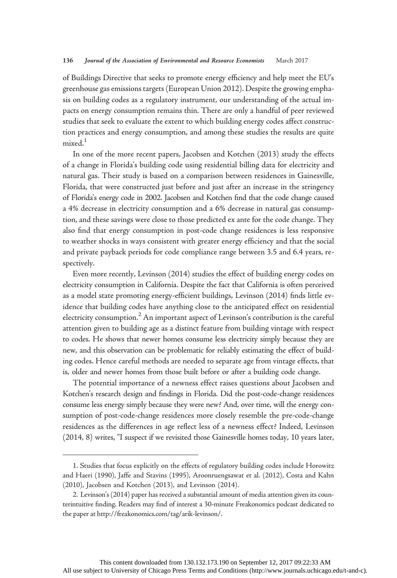of Buildings Directive that seeks to promote energy efficiency and help meet the EU's greenhouse gas emissions targets (European Union 2012). Despite the growing emphasis on building codes as a regulatory instrument, our understanding of the actual impacts on energy consumption remains thin. There are only a handful of peer reviewed studies that seek to evaluate the extent to which building energy codes affect construction practices and energy consumption, and among these studies the results are quite mixed.<sup>1</sup>

In one of the more recent papers, Jacobsen and Kotchen (2013) study the effects of a change in Florida's building code using residential billing data for electricity and natural gas. Their study is based on a comparison between residences in Gainesville, Florida, that were constructed just before and just after an increase in the stringency of Florida's energy code in 2002. Jacobsen and Kotchen find that the code change caused a 4% decrease in electricity consumption and a 6% decrease in natural gas consumption, and these savings were close to those predicted ex ante for the code change. They also find that energy consumption in post-code change residences is less responsive to weather shocks in ways consistent with greater energy efficiency and that the social and private payback periods for code compliance range between 3.5 and 6.4 years, respectively.

Even more recently, Levinson (2014) studies the effect of building energy codes on electricity consumption in California. Despite the fact that California is often perceived as a model state promoting energy-efficient buildings, Levinson (2014) finds little evidence that building codes have anything close to the anticipated effect on residential electricity consumption.<sup>2</sup> An important aspect of Levinson's contribution is the careful attention given to building age as a distinct feature from building vintage with respect to codes. He shows that newer homes consume less electricity simply because they are new, and this observation can be problematic for reliably estimating the effect of building codes. Hence careful methods are needed to separate age from vintage effects, that is, older and newer homes from those built before or after a building code change.

The potential importance of a newness effect raises questions about Jacobsen and Kotchen's research design and findings in Florida. Did the post-code-change residences consume less energy simply because they were new? And, over time, will the energy consumption of post-code-change residences more closely resemble the pre-code-change residences as the differences in age reflect less of a newness effect? Indeed, Levinson (2014, 8) writes, "I suspect if we revisited those Gainesville homes today, 10 years later,

<sup>1.</sup> Studies that focus explicitly on the effects of regulatory building codes include Horowitz and Haeri (1990), Jaffe and Stavins (1995), Aroonruengsawat et al. (2012), Costa and Kahn (2010), Jacobsen and Kotchen (2013), and Levinson (2014).

<sup>2.</sup> Levinson's (2014) paper has received a substantial amount of media attention given its counterintuitive finding. Readers may find of interest a 30-minute Freakonomics podcast dedicated to the paper at http://freakonomics.com/tag/arik-levinson/.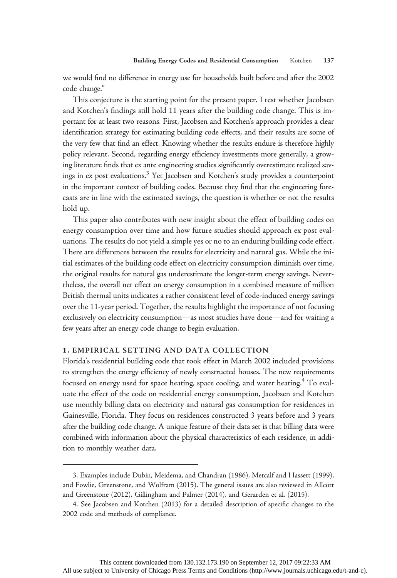we would find no difference in energy use for households built before and after the 2002 code change."

This conjecture is the starting point for the present paper. I test whether Jacobsen and Kotchen's findings still hold 11 years after the building code change. This is important for at least two reasons. First, Jacobsen and Kotchen's approach provides a clear identification strategy for estimating building code effects, and their results are some of the very few that find an effect. Knowing whether the results endure is therefore highly policy relevant. Second, regarding energy efficiency investments more generally, a growing literature finds that ex ante engineering studies significantly overestimate realized savings in ex post evaluations.<sup>3</sup> Yet Jacobsen and Kotchen's study provides a counterpoint in the important context of building codes. Because they find that the engineering forecasts are in line with the estimated savings, the question is whether or not the results hold up.

This paper also contributes with new insight about the effect of building codes on energy consumption over time and how future studies should approach ex post evaluations. The results do not yield a simple yes or no to an enduring building code effect. There are differences between the results for electricity and natural gas. While the initial estimates of the building code effect on electricity consumption diminish over time, the original results for natural gas underestimate the longer-term energy savings. Nevertheless, the overall net effect on energy consumption in a combined measure of million British thermal units indicates a rather consistent level of code-induced energy savings over the 11-year period. Together, the results highlight the importance of not focusing exclusively on electricity consumption—as most studies have done—and for waiting a few years after an energy code change to begin evaluation.

### 1. EMPIRICAL SETTING AND DATA COLLECTION

Florida's residential building code that took effect in March 2002 included provisions to strengthen the energy efficiency of newly constructed houses. The new requirements focused on energy used for space heating, space cooling, and water heating.<sup>4</sup> To evaluate the effect of the code on residential energy consumption, Jacobsen and Kotchen use monthly billing data on electricity and natural gas consumption for residences in Gainesville, Florida. They focus on residences constructed 3 years before and 3 years after the building code change. A unique feature of their data set is that billing data were combined with information about the physical characteristics of each residence, in addition to monthly weather data.

<sup>3.</sup> Examples include Dubin, Meidema, and Chandran (1986), Metcalf and Hassett (1999), and Fowlie, Greenstone, and Wolfram (2015). The general issues are also reviewed in Allcott and Greenstone (2012), Gillingham and Palmer (2014), and Gerarden et al. (2015).

<sup>4.</sup> See Jacobsen and Kotchen (2013) for a detailed description of specific changes to the 2002 code and methods of compliance.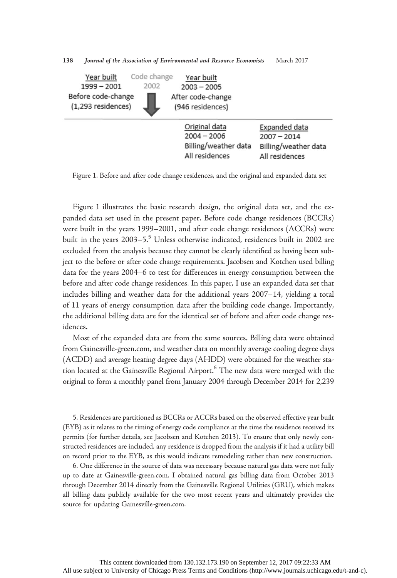| Code change<br>Year built<br>2002<br>$1999 - 2001$<br>Before code-change<br>(1,293 residences) | Year built<br>$2003 - 2005$<br>After code-change<br>(946 residences)     |                                                                          |
|------------------------------------------------------------------------------------------------|--------------------------------------------------------------------------|--------------------------------------------------------------------------|
|                                                                                                | Original data<br>$2004 - 2006$<br>Billing/weather data<br>All residences | Expanded data<br>$2007 - 2014$<br>Billing/weather data<br>All residences |

138 Journal of the Association of Environmental and Resource Economists March 2017

Figure 1. Before and after code change residences, and the original and expanded data set

Figure 1 illustrates the basic research design, the original data set, and the expanded data set used in the present paper. Before code change residences (BCCRs) were built in the years 1999–2001, and after code change residences (ACCRs) were built in the years 2003–5.<sup>5</sup> Unless otherwise indicated, residences built in 2002 are excluded from the analysis because they cannot be clearly identified as having been subject to the before or after code change requirements. Jacobsen and Kotchen used billing data for the years 2004–6 to test for differences in energy consumption between the before and after code change residences. In this paper, I use an expanded data set that includes billing and weather data for the additional years 2007–14, yielding a total of 11 years of energy consumption data after the building code change. Importantly, the additional billing data are for the identical set of before and after code change residences.

Most of the expanded data are from the same sources. Billing data were obtained from Gainesville-green.com, and weather data on monthly average cooling degree days (ACDD) and average heating degree days (AHDD) were obtained for the weather station located at the Gainesville Regional Airport.<sup>6</sup> The new data were merged with the original to form a monthly panel from January 2004 through December 2014 for 2,239

<sup>5.</sup> Residences are partitioned as BCCRs or ACCRs based on the observed effective year built (EYB) as it relates to the timing of energy code compliance at the time the residence received its permits (for further details, see Jacobsen and Kotchen 2013). To ensure that only newly constructed residences are included, any residence is dropped from the analysis if it had a utility bill on record prior to the EYB, as this would indicate remodeling rather than new construction.

<sup>6.</sup> One difference in the source of data was necessary because natural gas data were not fully up to date at Gainesville-green.com. I obtained natural gas billing data from October 2013 through December 2014 directly from the Gainesville Regional Utilities (GRU), which makes all billing data publicly available for the two most recent years and ultimately provides the source for updating Gainesville-green.com.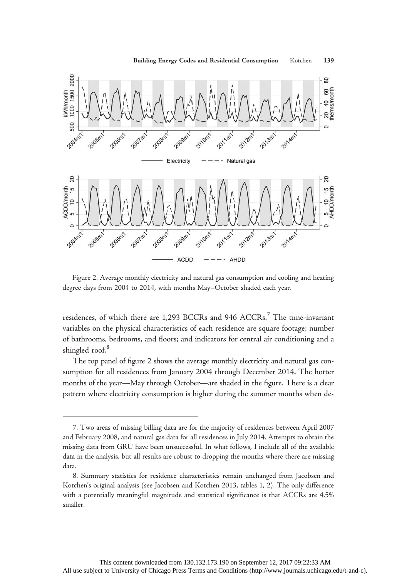

Figure 2. Average monthly electricity and natural gas consumption and cooling and heating degree days from 2004 to 2014, with months May–October shaded each year.

residences, of which there are 1,293 BCCRs and 946 ACCRs.<sup>7</sup> The time-invariant variables on the physical characteristics of each residence are square footage; number of bathrooms, bedrooms, and floors; and indicators for central air conditioning and a shingled roof.<sup>8</sup>

The top panel of figure 2 shows the average monthly electricity and natural gas consumption for all residences from January 2004 through December 2014. The hotter months of the year—May through October—are shaded in the figure. There is a clear pattern where electricity consumption is higher during the summer months when de-

<sup>7.</sup> Two areas of missing billing data are for the majority of residences between April 2007 and February 2008, and natural gas data for all residences in July 2014. Attempts to obtain the missing data from GRU have been unsuccessful. In what follows, I include all of the available data in the analysis, but all results are robust to dropping the months where there are missing data.

<sup>8.</sup> Summary statistics for residence characteristics remain unchanged from Jacobsen and Kotchen's original analysis (see Jacobsen and Kotchen 2013, tables 1, 2). The only difference with a potentially meaningful magnitude and statistical significance is that ACCRs are 4.5% smaller.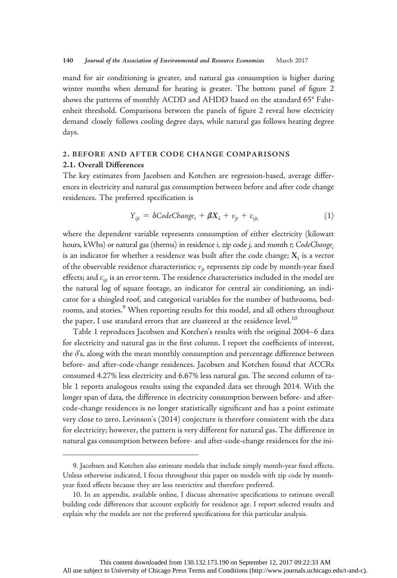mand for air conditioning is greater, and natural gas consumption is higher during winter months when demand for heating is greater. The bottom panel of figure 2 shows the patterns of monthly ACDD and AHDD based on the standard 65° Fahrenheit threshold. Comparisons between the panels of figure 2 reveal how electricity demand closely follows cooling degree days, while natural gas follows heating degree days.

# 2. BEFORE AND AFTER CODE CHANGE COMPARISONS

#### 2.1. Overall Differences

The key estimates from Jacobsen and Kotchen are regression-based, average differences in electricity and natural gas consumption between before and after code change residences. The preferred specification is

$$
Y_{ijt} = \delta CodeChange_i + \beta X_i + v_{jt} + \varepsilon_{ijt}, \qquad (1)
$$

where the dependent variable represents consumption of either electricity (kilowatt hours, kWhs) or natural gas (therms) in residence *i*, zip code *j*, and month *t*; CodeChange<sub>i</sub> is an indicator for whether a residence was built after the code change;  $X_i$  is a vector of the observable residence characteristics;  $v_{it}$  represents zip code by month-year fixed effects; and  $\varepsilon_{\text{fit}}$  is an error term. The residence characteristics included in the model are the natural log of square footage, an indicator for central air conditioning, an indicator for a shingled roof, and categorical variables for the number of bathrooms, bedrooms, and stories.<sup>9</sup> When reporting results for this model, and all others throughout the paper, I use standard errors that are clustered at the residence level.<sup>10</sup>

Table 1 reproduces Jacobsen and Kotchen's results with the original 2004–6 data for electricity and natural gas in the first column. I report the coefficients of interest, the δ's, along with the mean monthly consumption and percentage difference between before- and after-code-change residences. Jacobsen and Kotchen found that ACCRs consumed 4.27% less electricity and 6.67% less natural gas. The second column of table 1 reports analogous results using the expanded data set through 2014. With the longer span of data, the difference in electricity consumption between before- and aftercode-change residences is no longer statistically significant and has a point estimate very close to zero. Levinson's (2014) conjecture is therefore consistent with the data for electricity; however, the pattern is very different for natural gas. The difference in natural gas consumption between before- and after-code-change residences for the ini-

<sup>9.</sup> Jacobsen and Kotchen also estimate models that include simply month-year fixed effects. Unless otherwise indicated, I focus throughout this paper on models with zip code by monthyear fixed effects because they are less restrictive and therefore preferred.

<sup>10.</sup> In an appendix, available online, I discuss alternative specifications to estimate overall building code differences that account explicitly for residence age. I report selected results and explain why the models are not the preferred specifications for this particular analysis.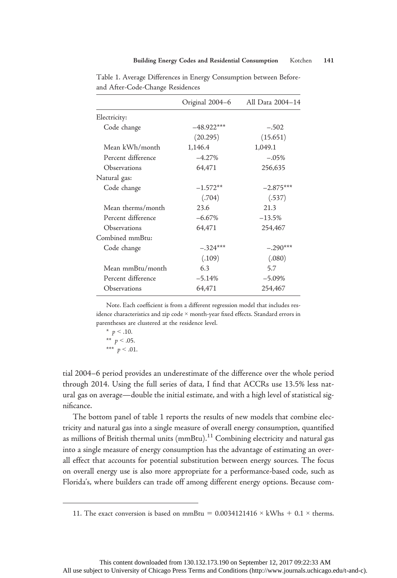|                    | Original 2004-6 | All Data 2004-14 |
|--------------------|-----------------|------------------|
| Electricity:       |                 |                  |
| Code change        | $-48.922***$    | $-.502$          |
|                    | (20.295)        | (15.651)         |
| Mean kWh/month     | 1,146.4         | 1,049.1          |
| Percent difference | $-4.27%$        | $-.05%$          |
| Observations       | 64,471          | 256,635          |
| Natural gas:       |                 |                  |
| Code change        | $-1.572**$      | $-2.875***$      |
|                    | (.704)          | (.537)           |
| Mean therms/month  | 23.6            | 21.3             |
| Percent difference | $-6.67%$        | $-13.5%$         |
| Observations       | 64,471          | 254,467          |
| Combined mmBtu:    |                 |                  |
| Code change        | $-.324***$      | $-.290***$       |
|                    | (.109)          | (.080)           |
| Mean mmBtu/month   | 6.3             | 5.7              |
| Percent difference | $-5.14%$        | $-5.09\%$        |
| Observations       | 64,471          | 254,467          |
|                    |                 |                  |

Table 1. Average Differences in Energy Consumption between Beforeand After-Code-Change Residences

Note. Each coefficient is from a different regression model that includes residence characteristics and zip code × month-year fixed effects. Standard errors in parentheses are clustered at the residence level.

\*  $p < .10$ . \*\*  $p < .05$ . \*\*\*  $p < .01$ .

tial 2004–6 period provides an underestimate of the difference over the whole period through 2014. Using the full series of data, I find that ACCRs use 13.5% less natural gas on average—double the initial estimate, and with a high level of statistical significance.

The bottom panel of table 1 reports the results of new models that combine electricity and natural gas into a single measure of overall energy consumption, quantified as millions of British thermal units  $(mmBtu)$ .<sup>11</sup> Combining electricity and natural gas into a single measure of energy consumption has the advantage of estimating an overall effect that accounts for potential substitution between energy sources. The focus on overall energy use is also more appropriate for a performance-based code, such as Florida's, where builders can trade off among different energy options. Because com-

<sup>11.</sup> The exact conversion is based on mmBtu =  $0.0034121416 \times$  kWhs + 0.1  $\times$  therms.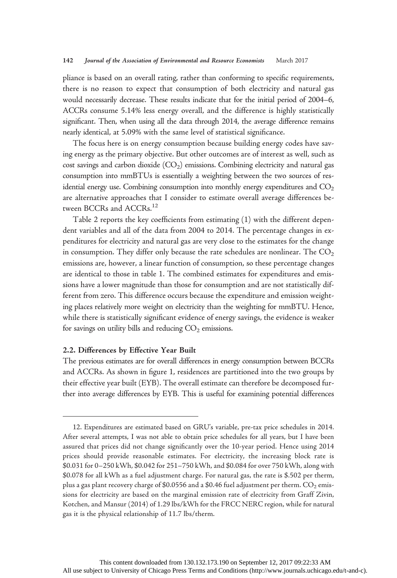pliance is based on an overall rating, rather than conforming to specific requirements, there is no reason to expect that consumption of both electricity and natural gas would necessarily decrease. These results indicate that for the initial period of 2004–6, ACCRs consume 5.14% less energy overall, and the difference is highly statistically significant. Then, when using all the data through 2014, the average difference remains nearly identical, at 5.09% with the same level of statistical significance.

The focus here is on energy consumption because building energy codes have saving energy as the primary objective. But other outcomes are of interest as well, such as cost savings and carbon dioxide  $(CO<sub>2</sub>)$  emissions. Combining electricity and natural gas consumption into mmBTUs is essentially a weighting between the two sources of residential energy use. Combining consumption into monthly energy expenditures and  $CO<sub>2</sub>$ are alternative approaches that I consider to estimate overall average differences between BCCRs and ACCRs.<sup>12</sup>

Table 2 reports the key coefficients from estimating (1) with the different dependent variables and all of the data from 2004 to 2014. The percentage changes in expenditures for electricity and natural gas are very close to the estimates for the change in consumption. They differ only because the rate schedules are nonlinear. The  $CO<sub>2</sub>$ emissions are, however, a linear function of consumption, so these percentage changes are identical to those in table 1. The combined estimates for expenditures and emissions have a lower magnitude than those for consumption and are not statistically different from zero. This difference occurs because the expenditure and emission weighting places relatively more weight on electricity than the weighting for mmBTU. Hence, while there is statistically significant evidence of energy savings, the evidence is weaker for savings on utility bills and reducing  $CO<sub>2</sub>$  emissions.

#### 2.2. Differences by Effective Year Built

The previous estimates are for overall differences in energy consumption between BCCRs and ACCRs. As shown in figure 1, residences are partitioned into the two groups by their effective year built (EYB). The overall estimate can therefore be decomposed further into average differences by EYB. This is useful for examining potential differences

<sup>12.</sup> Expenditures are estimated based on GRU's variable, pre-tax price schedules in 2014. After several attempts, I was not able to obtain price schedules for all years, but I have been assured that prices did not change significantly over the 10-year period. Hence using 2014 prices should provide reasonable estimates. For electricity, the increasing block rate is \$0.031 for 0–250 kWh, \$0.042 for 251–750 kWh, and \$0.084 for over 750 kWh, along with \$0.078 for all kWh as a fuel adjustment charge. For natural gas, the rate is \$.502 per therm, plus a gas plant recovery charge of \$0.0556 and a \$0.46 fuel adjustment per therm.  $CO<sub>2</sub>$  emissions for electricity are based on the marginal emission rate of electricity from Graff Zivin, Kotchen, and Mansur (2014) of 1.29 lbs/kWh for the FRCC NERC region, while for natural gas it is the physical relationship of 11.7 lbs/therm.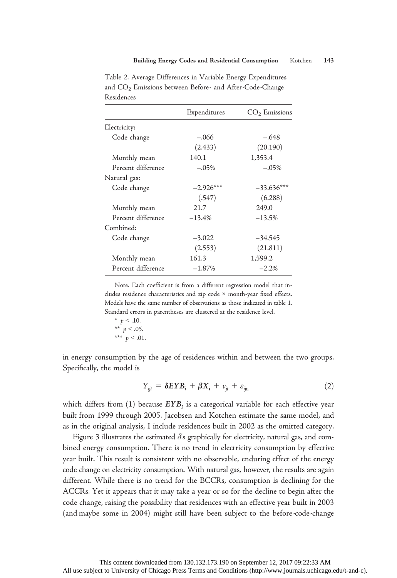|                    | Expenditures | $CO2$ Emissions |
|--------------------|--------------|-----------------|
| Electricity:       |              |                 |
| Code change        | $-.066$      | $-.648$         |
|                    | (2.433)      | (20.190)        |
| Monthly mean       | 140.1        | 1,353.4         |
| Percent difference | $-.05%$      | $-.05%$         |
| Natural gas:       |              |                 |
| Code change        | $-2.926***$  | $-33.636***$    |
|                    | (.547)       | (6.288)         |
| Monthly mean       | 21.7         | 249.0           |
| Percent difference | $-13.4%$     | $-13.5%$        |
| Combined:          |              |                 |
| Code change        | $-3.022$     | $-34.545$       |
|                    | (2.553)      | (21.811)        |
| Monthly mean       | 161.3        | 1,599.2         |
| Percent difference | $-1.87%$     | $-2.2%$         |
|                    |              |                 |

Table 2. Average Differences in Variable Energy Expenditures and CO<sub>2</sub> Emissions between Before- and After-Code-Change Residences

Note. Each coefficient is from a different regression model that includes residence characteristics and zip code × month-year fixed effects. Models have the same number of observations as those indicated in table 1. Standard errors in parentheses are clustered at the residence level.

$$
\begin{array}{c}\n * \quad p < .10. \\
* \quad p < .05.\n\end{array}
$$

\*\*\*  $p < .01$ .

in energy consumption by the age of residences within and between the two groups. Specifically, the model is

$$
Y_{ijt} = \delta E Y B_i + \beta X_i + v_{jt} + \varepsilon_{ijt}, \qquad (2)
$$

which differs from  $(1)$  because  $EYB_i$  is a categorical variable for each effective year built from 1999 through 2005. Jacobsen and Kotchen estimate the same model, and as in the original analysis, I include residences built in 2002 as the omitted category.

Figure 3 illustrates the estimated  $\delta$ s graphically for electricity, natural gas, and combined energy consumption. There is no trend in electricity consumption by effective year built. This result is consistent with no observable, enduring effect of the energy code change on electricity consumption. With natural gas, however, the results are again different. While there is no trend for the BCCRs, consumption is declining for the ACCRs. Yet it appears that it may take a year or so for the decline to begin after the code change, raising the possibility that residences with an effective year built in 2003 (and maybe some in 2004) might still have been subject to the before-code-change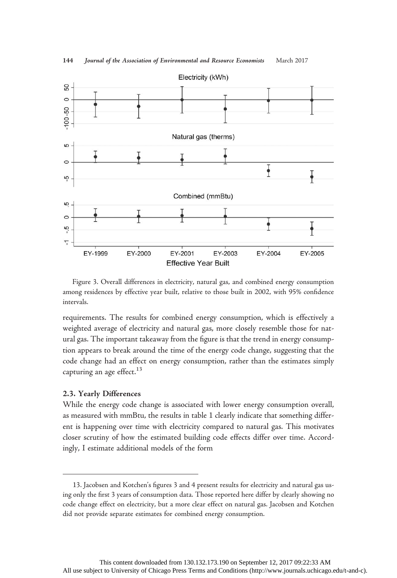

144 Journal of the Association of Environmental and Resource Economists March 2017

Figure 3. Overall differences in electricity, natural gas, and combined energy consumption among residences by effective year built, relative to those built in 2002, with 95% confidence intervals.

requirements. The results for combined energy consumption, which is effectively a weighted average of electricity and natural gas, more closely resemble those for natural gas. The important takeaway from the figure is that the trend in energy consumption appears to break around the time of the energy code change, suggesting that the code change had an effect on energy consumption, rather than the estimates simply capturing an age effect. $13$ 

#### 2.3. Yearly Differences

While the energy code change is associated with lower energy consumption overall, as measured with mmBtu, the results in table 1 clearly indicate that something different is happening over time with electricity compared to natural gas. This motivates closer scrutiny of how the estimated building code effects differ over time. Accordingly, I estimate additional models of the form

<sup>13.</sup> Jacobsen and Kotchen's figures 3 and 4 present results for electricity and natural gas using only the first 3 years of consumption data. Those reported here differ by clearly showing no code change effect on electricity, but a more clear effect on natural gas. Jacobsen and Kotchen did not provide separate estimates for combined energy consumption.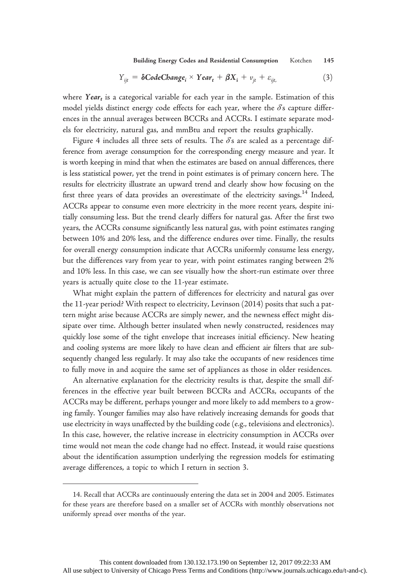Building Energy Codes and Residential Consumption Kotchen 145

$$
Y_{ijt} = \delta \text{CodeChange}_i \times \text{Year}_t + \beta X_i + v_{jt} + \varepsilon_{ijt}, \tag{3}
$$

where Year<sub>t</sub> is a categorical variable for each year in the sample. Estimation of this model yields distinct energy code effects for each year, where the  $\delta$ 's capture differences in the annual averages between BCCRs and ACCRs. I estimate separate models for electricity, natural gas, and mmBtu and report the results graphically.

Figure 4 includes all three sets of results. The  $\delta$ 's are scaled as a percentage difference from average consumption for the corresponding energy measure and year. It is worth keeping in mind that when the estimates are based on annual differences, there is less statistical power, yet the trend in point estimates is of primary concern here. The results for electricity illustrate an upward trend and clearly show how focusing on the first three years of data provides an overestimate of the electricity savings.<sup>14</sup> Indeed, ACCRs appear to consume even more electricity in the more recent years, despite initially consuming less. But the trend clearly differs for natural gas. After the first two years, the ACCRs consume significantly less natural gas, with point estimates ranging between 10% and 20% less, and the difference endures over time. Finally, the results for overall energy consumption indicate that ACCRs uniformly consume less energy, but the differences vary from year to year, with point estimates ranging between 2% and 10% less. In this case, we can see visually how the short-run estimate over three years is actually quite close to the 11-year estimate.

What might explain the pattern of differences for electricity and natural gas over the 11-year period? With respect to electricity, Levinson (2014) posits that such a pattern might arise because ACCRs are simply newer, and the newness effect might dissipate over time. Although better insulated when newly constructed, residences may quickly lose some of the tight envelope that increases initial efficiency. New heating and cooling systems are more likely to have clean and efficient air filters that are subsequently changed less regularly. It may also take the occupants of new residences time to fully move in and acquire the same set of appliances as those in older residences.

An alternative explanation for the electricity results is that, despite the small differences in the effective year built between BCCRs and ACCRs, occupants of the ACCRs may be different, perhaps younger and more likely to add members to a growing family. Younger families may also have relatively increasing demands for goods that use electricity in ways unaffected by the building code (e.g., televisions and electronics). In this case, however, the relative increase in electricity consumption in ACCRs over time would not mean the code change had no effect. Instead, it would raise questions about the identification assumption underlying the regression models for estimating average differences, a topic to which I return in section 3.

<sup>14.</sup> Recall that ACCRs are continuously entering the data set in 2004 and 2005. Estimates for these years are therefore based on a smaller set of ACCRs with monthly observations not uniformly spread over months of the year.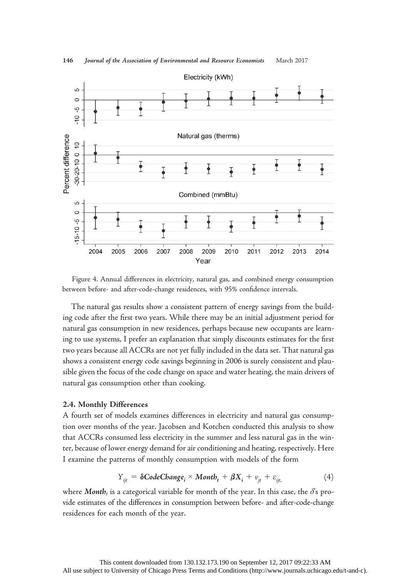

Figure 4. Annual differences in electricity, natural gas, and combined energy consumption between before- and after-code-change residences, with 95% confidence intervals.

The natural gas results show a consistent pattern of energy savings from the building code after the first two years. While there may be an initial adjustment period for natural gas consumption in new residences, perhaps because new occupants are learning to use systems, I prefer an explanation that simply discounts estimates for the first two years because all ACCRs are not yet fully included in the data set. That natural gas shows a consistent energy code savings beginning in 2006 is surely consistent and plausible given the focus of the code change on space and water heating, the main drivers of natural gas consumption other than cooking.

#### 2.4. Monthly Differences

A fourth set of models examines differences in electricity and natural gas consumption over months of the year. Jacobsen and Kotchen conducted this analysis to show that ACCRs consumed less electricity in the summer and less natural gas in the winter, because of lower energy demand for air conditioning and heating, respectively. Here I examine the patterns of monthly consumption with models of the form

$$
Y_{ijt} = \delta CodeChange_i \times Montb_t + \beta X_i + v_{jt} + \varepsilon_{ijt}, \qquad (4)
$$

where Month<sub>t</sub> is a categorical variable for month of the year. In this case, the  $\delta$ 's provide estimates of the differences in consumption between before- and after-code-change residences for each month of the year.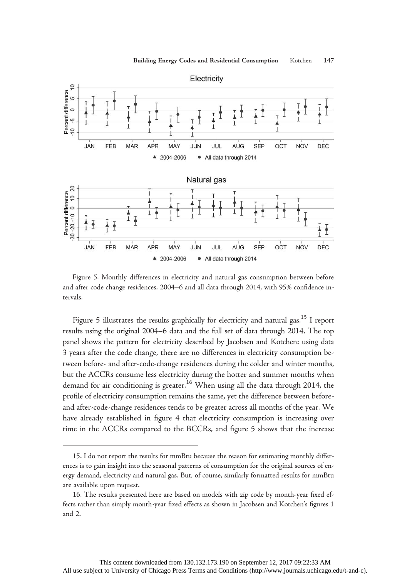

Figure 5. Monthly differences in electricity and natural gas consumption between before and after code change residences, 2004–6 and all data through 2014, with 95% confidence intervals.

Figure 5 illustrates the results graphically for electricity and natural gas.<sup>15</sup> I report results using the original 2004–6 data and the full set of data through 2014. The top panel shows the pattern for electricity described by Jacobsen and Kotchen: using data 3 years after the code change, there are no differences in electricity consumption between before- and after-code-change residences during the colder and winter months, but the ACCRs consume less electricity during the hotter and summer months when demand for air conditioning is greater.<sup>16</sup> When using all the data through 2014, the profile of electricity consumption remains the same, yet the difference between beforeand after-code-change residences tends to be greater across all months of the year. We have already established in figure 4 that electricity consumption is increasing over time in the ACCRs compared to the BCCRs, and figure 5 shows that the increase

<sup>15.</sup> I do not report the results for mmBtu because the reason for estimating monthly differences is to gain insight into the seasonal patterns of consumption for the original sources of energy demand, electricity and natural gas. But, of course, similarly formatted results for mmBtu are available upon request.

<sup>16.</sup> The results presented here are based on models with zip code by month-year fixed effects rather than simply month-year fixed effects as shown in Jacobsen and Kotchen's figures 1 and 2.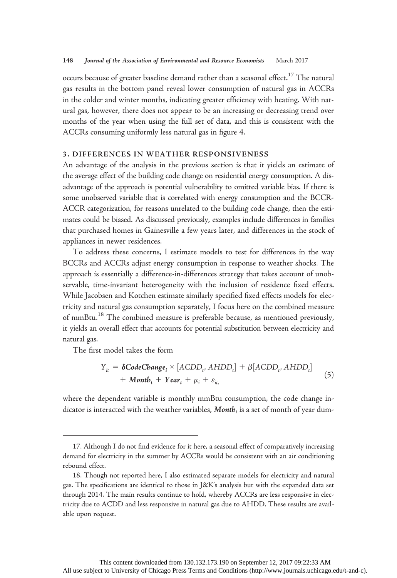occurs because of greater baseline demand rather than a seasonal effect.<sup>17</sup> The natural gas results in the bottom panel reveal lower consumption of natural gas in ACCRs in the colder and winter months, indicating greater efficiency with heating. With natural gas, however, there does not appear to be an increasing or decreasing trend over months of the year when using the full set of data, and this is consistent with the ACCRs consuming uniformly less natural gas in figure 4.

## 3. DIFFERENCES IN WEATHER RESPONSIVENESS

An advantage of the analysis in the previous section is that it yields an estimate of the average effect of the building code change on residential energy consumption. A disadvantage of the approach is potential vulnerability to omitted variable bias. If there is some unobserved variable that is correlated with energy consumption and the BCCR-ACCR categorization, for reasons unrelated to the building code change, then the estimates could be biased. As discussed previously, examples include differences in families that purchased homes in Gainesville a few years later, and differences in the stock of appliances in newer residences.

To address these concerns, I estimate models to test for differences in the way BCCRs and ACCRs adjust energy consumption in response to weather shocks. The approach is essentially a difference-in-differences strategy that takes account of unobservable, time-invariant heterogeneity with the inclusion of residence fixed effects. While Jacobsen and Kotchen estimate similarly specified fixed effects models for electricity and natural gas consumption separately, I focus here on the combined measure of mmBtu.<sup>18</sup> The combined measure is preferable because, as mentioned previously, it yields an overall effect that accounts for potential substitution between electricity and natural gas.

The first model takes the form

$$
Y_{it} = \delta \text{CodeChange}_{i} \times [ACDD_{t}, AHDD_{t}] + \beta [ACDD_{t}, AHDD_{t}] + \text{Montb}_{t} + \text{Year}_{t} + \mu_{i} + \varepsilon_{it}, \tag{5}
$$

where the dependent variable is monthly mmBtu consumption, the code change indicator is interacted with the weather variables,  $\textit{Month}_t$  is a set of month of year dum-

<sup>17.</sup> Although I do not find evidence for it here, a seasonal effect of comparatively increasing demand for electricity in the summer by ACCRs would be consistent with an air conditioning rebound effect.

<sup>18.</sup> Though not reported here, I also estimated separate models for electricity and natural gas. The specifications are identical to those in J&K's analysis but with the expanded data set through 2014. The main results continue to hold, whereby ACCRs are less responsive in electricity due to ACDD and less responsive in natural gas due to AHDD. These results are available upon request.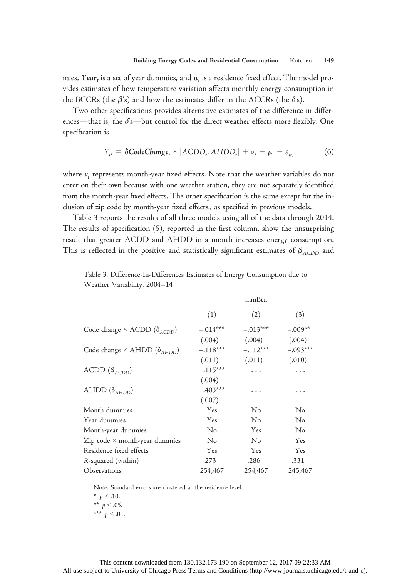mies, Year<sub>t</sub> is a set of year dummies, and  $\mu_i$  is a residence fixed effect. The model provides estimates of how temperature variation affects monthly energy consumption in the BCCRs (the  $\beta$ 's) and how the estimates differ in the ACCRs (the  $\delta$ 's).

Two other specifications provides alternative estimates of the difference in differences—that is, the  $\delta$ 's—but control for the direct weather effects more flexibly. One specification is

$$
Y_{it} = \delta \text{CodeChange}_{i} \times [ACDD_{t}, AHDD_{t}] + v_{t} + \mu_{i} + \varepsilon_{it}, \tag{6}
$$

where  $v_t$  represents month-year fixed effects. Note that the weather variables do not enter on their own because with one weather station, they are not separately identified from the month-year fixed effects. The other specification is the same except for the inclusion of zip code by month-year fixed effects,, as specified in previous models.

Table 3 reports the results of all three models using all of the data through 2014. The results of specification (5), reported in the first column, show the unsurprising result that greater ACDD and AHDD in a month increases energy consumption. This is reflected in the positive and statistically significant estimates of  $\beta_{ACDD}$  and

|                                                          |            | mmBtu      |            |
|----------------------------------------------------------|------------|------------|------------|
|                                                          | (1)        | (2)        | (3)        |
| Code change $\times$ ACDD ( $\delta_{\rm \Lambda CDD}$ ) | $-.014***$ | $-.013***$ | $-.009**$  |
|                                                          | (.004)     | (.004)     | (.004)     |
| Code change $\times$ AHDD ( $\delta$ <sub>AHDD</sub> )   | $-.118***$ | $-.112***$ | $-.093***$ |
|                                                          | (.011)     | (.011)     | (.010)     |
| ACDD $(\beta_{ACDD})$                                    | $.115***$  | $\cdots$   | $\cdots$   |
|                                                          | (.004)     |            |            |
| AHDD $(\delta_{\text{AHDD}})$                            | $.403***$  | $\cdots$   |            |
|                                                          | (.007)     |            |            |
| Month dummies                                            | Yes        | No         | No         |
| Year dummies                                             | Yes        | No         | No         |
| Month-year dummies                                       | No         | Yes        | No         |
| Zip code $\times$ month-year dummies                     | No         | No         | Yes        |
| Residence fixed effects                                  | Yes        | Yes        | Yes        |
| R-squared (within)                                       | .273       | .286       | .331       |
| Observations                                             | 254,467    | 254,467    | 245,467    |

Table 3. Difference-In-Differences Estimates of Energy Consumption due to Weather Variability, 2004–14

Note. Standard errors are clustered at the residence level.

<sup>\*</sup>  $p < .10$ .

<sup>\*\*</sup>  $p < .05$ .

<sup>\*\*\*</sup>  $p < .01$ .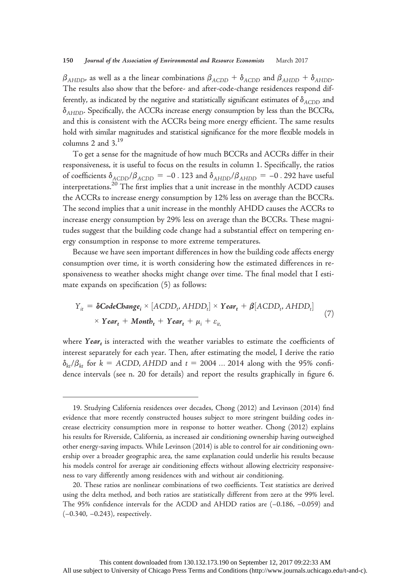$\beta_{AHDD}$ , as well as a the linear combinations  $\beta_{ACDD} + \delta_{ACDD}$  and  $\beta_{AHDD} + \delta_{AHDD}$ . The results also show that the before- and after-code-change residences respond differently, as indicated by the negative and statistically significant estimates of  $\delta_{A C D D}$  and  $\delta$ <sub>AHDD</sub>. Specifically, the ACCRs increase energy consumption by less than the BCCRs, and this is consistent with the ACCRs being more energy efficient. The same results hold with similar magnitudes and statistical significance for the more flexible models in columns 2 and 3.19

To get a sense for the magnitude of how much BCCRs and ACCRs differ in their responsiveness, it is useful to focus on the results in column 1. Specifically, the ratios of coefficients  $\delta_{A CDD}/\beta_{A CDD} = -0$ . 123 and  $\delta_{A HDD}/\beta_{A HDD} = -0$ . 292 have useful interpretations.<sup>20</sup> The first implies that a unit increase in the monthly ACDD causes the ACCRs to increase energy consumption by 12% less on average than the BCCRs. The second implies that a unit increase in the monthly AHDD causes the ACCRs to increase energy consumption by 29% less on average than the BCCRs. These magnitudes suggest that the building code change had a substantial effect on tempering energy consumption in response to more extreme temperatures.

Because we have seen important differences in how the building code affects energy consumption over time, it is worth considering how the estimated differences in responsiveness to weather shocks might change over time. The final model that I estimate expands on specification (5) as follows:

$$
Y_{it} = \delta \text{CodeChange}_{i} \times [ACDD_{t}, AHDD_{t}] \times Year_{t} + \beta [ACDD_{t}, AHDD_{t}]
$$
  
 
$$
\times Year_{t} + Montb_{t} + Year_{t} + \mu_{i} + \varepsilon_{it}, \qquad (7)
$$

where Year<sub>t</sub> is interacted with the weather variables to estimate the coefficients of interest separately for each year. Then, after estimating the model, I derive the ratio  $\delta_{kt}/\beta_{kt}$  for  $k = ACDD$ , AHDD and  $t = 2004$  ... 2014 along with the 95% confidence intervals (see n. 20 for details) and report the results graphically in figure 6.

<sup>19.</sup> Studying California residences over decades, Chong (2012) and Levinson (2014) find evidence that more recently constructed houses subject to more stringent building codes increase electricity consumption more in response to hotter weather. Chong (2012) explains his results for Riverside, California, as increased air conditioning ownership having outweighed other energy-saving impacts. While Levinson (2014) is able to control for air conditioning ownership over a broader geographic area, the same explanation could underlie his results because his models control for average air conditioning effects without allowing electricity responsiveness to vary differently among residences with and without air conditioning.

<sup>20.</sup> These ratios are nonlinear combinations of two coefficients. Test statistics are derived using the delta method, and both ratios are statistically different from zero at the 99% level. The 95% confidence intervals for the ACDD and AHDD ratios are (–0.186, –0.059) and (–0.340, –0.243), respectively.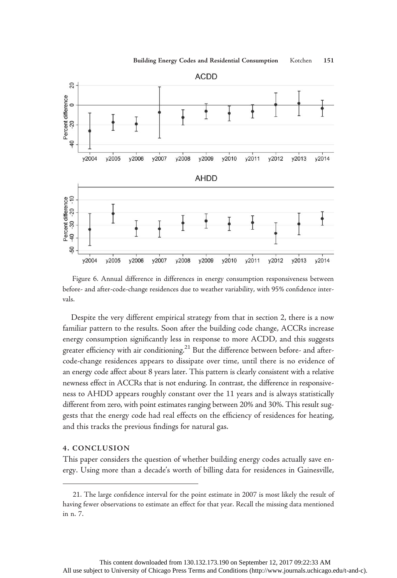

Figure 6. Annual difference in differences in energy consumption responsiveness between before- and after-code-change residences due to weather variability, with 95% confidence intervals.

Despite the very different empirical strategy from that in section 2, there is a now familiar pattern to the results. Soon after the building code change, ACCRs increase energy consumption significantly less in response to more ACDD, and this suggests greater efficiency with air conditioning.<sup>21</sup> But the difference between before- and aftercode-change residences appears to dissipate over time, until there is no evidence of an energy code affect about 8 years later. This pattern is clearly consistent with a relative newness effect in ACCRs that is not enduring. In contrast, the difference in responsiveness to AHDD appears roughly constant over the 11 years and is always statistically different from zero, with point estimates ranging between 20% and 30%. This result suggests that the energy code had real effects on the efficiency of residences for heating, and this tracks the previous findings for natural gas.

# 4. CONCLUSION

This paper considers the question of whether building energy codes actually save energy. Using more than a decade's worth of billing data for residences in Gainesville,

<sup>21.</sup> The large confidence interval for the point estimate in 2007 is most likely the result of having fewer observations to estimate an effect for that year. Recall the missing data mentioned in n. 7.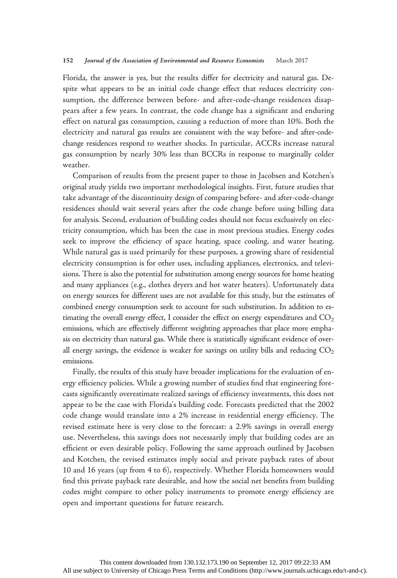#### 152 Journal of the Association of Environmental and Resource Economists March 2017

Florida, the answer is yes, but the results differ for electricity and natural gas. Despite what appears to be an initial code change effect that reduces electricity consumption, the difference between before- and after-code-change residences disappears after a few years. In contrast, the code change has a significant and enduring effect on natural gas consumption, causing a reduction of more than 10%. Both the electricity and natural gas results are consistent with the way before- and after-codechange residences respond to weather shocks. In particular, ACCRs increase natural gas consumption by nearly 30% less than BCCRs in response to marginally colder weather.

Comparison of results from the present paper to those in Jacobsen and Kotchen's original study yields two important methodological insights. First, future studies that take advantage of the discontinuity design of comparing before- and after-code-change residences should wait several years after the code change before using billing data for analysis. Second, evaluation of building codes should not focus exclusively on electricity consumption, which has been the case in most previous studies. Energy codes seek to improve the efficiency of space heating, space cooling, and water heating. While natural gas is used primarily for these purposes, a growing share of residential electricity consumption is for other uses, including appliances, electronics, and televisions. There is also the potential for substitution among energy sources for home heating and many appliances (e.g., clothes dryers and hot water heaters). Unfortunately data on energy sources for different uses are not available for this study, but the estimates of combined energy consumption seek to account for such substitution. In addition to estimating the overall energy effect, I consider the effect on energy expenditures and  $CO<sub>2</sub>$ emissions, which are effectively different weighting approaches that place more emphasis on electricity than natural gas. While there is statistically significant evidence of overall energy savings, the evidence is weaker for savings on utility bills and reducing  $CO<sub>2</sub>$ emissions.

Finally, the results of this study have broader implications for the evaluation of energy efficiency policies. While a growing number of studies find that engineering forecasts significantly overestimate realized savings of efficiency investments, this does not appear to be the case with Florida's building code. Forecasts predicted that the 2002 code change would translate into a 2% increase in residential energy efficiency. The revised estimate here is very close to the forecast: a 2.9% savings in overall energy use. Nevertheless, this savings does not necessarily imply that building codes are an efficient or even desirable policy. Following the same approach outlined by Jacobsen and Kotchen, the revised estimates imply social and private payback rates of about 10 and 16 years (up from 4 to 6), respectively. Whether Florida homeowners would find this private payback rate desirable, and how the social net benefits from building codes might compare to other policy instruments to promote energy efficiency are open and important questions for future research.